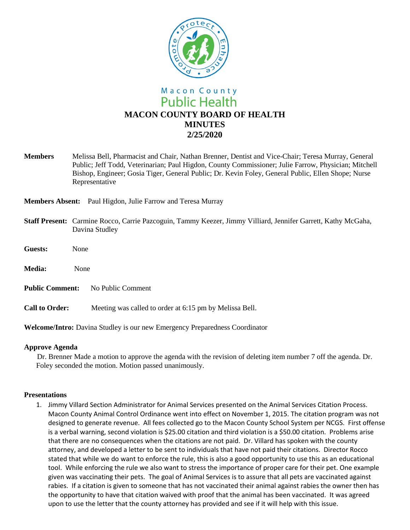

**Members** Melissa Bell, Pharmacist and Chair, Nathan Brenner, Dentist and Vice-Chair; Teresa Murray, General Public; Jeff Todd, Veterinarian; Paul Higdon, County Commissioner; Julie Farrow, Physician; Mitchell Bishop, Engineer; Gosia Tiger, General Public; Dr. Kevin Foley, General Public, Ellen Shope; Nurse Representative

**Members Absent:** Paul Higdon, Julie Farrow and Teresa Murray

- **Staff Present:** Carmine Rocco, Carrie Pazcoguin, Tammy Keezer, Jimmy Villiard, Jennifer Garrett, Kathy McGaha, Davina Studley
- **Guests:** None
- **Media:** None
- **Public Comment:** No Public Comment
- **Call to Order:** Meeting was called to order at 6:15 pm by Melissa Bell.

**Welcome/Intro:** Davina Studley is our new Emergency Preparedness Coordinator

#### **Approve Agenda**

Dr. Brenner Made a motion to approve the agenda with the revision of deleting item number 7 off the agenda. Dr. Foley seconded the motion. Motion passed unanimously.

#### **Presentations**

1. Jimmy Villard Section Administrator for Animal Services presented on the Animal Services Citation Process. Macon County Animal Control Ordinance went into effect on November 1, 2015. The citation program was not designed to generate revenue. All fees collected go to the Macon County School System per NCGS. First offense is a verbal warning, second violation is \$25.00 citation and third violation is a \$50.00 citation. Problems arise that there are no consequences when the citations are not paid. Dr. Villard has spoken with the county attorney, and developed a letter to be sent to individuals that have not paid their citations. Director Rocco stated that while we do want to enforce the rule, this is also a good opportunity to use this as an educational tool. While enforcing the rule we also want to stress the importance of proper care for their pet. One example given was vaccinating their pets. The goal of Animal Services is to assure that all pets are vaccinated against rabies. If a citation is given to someone that has not vaccinated their animal against rabies the owner then has the opportunity to have that citation waived with proof that the animal has been vaccinated. It was agreed upon to use the letter that the county attorney has provided and see if it will help with this issue.